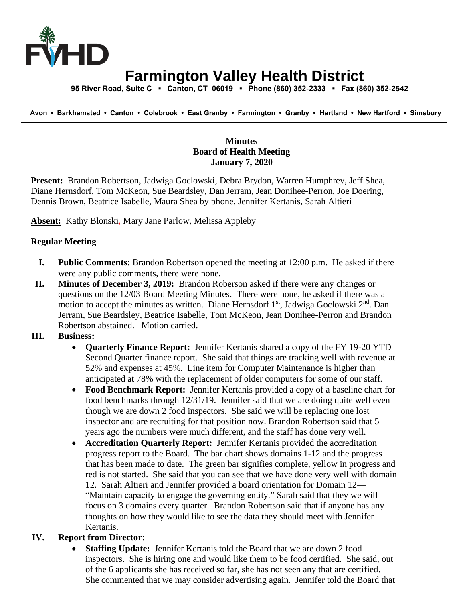

# **Farmington Valley Health District**

 **95 River Road, Suite C ▪ Canton, CT 06019 ▪ Phone (860) 352-2333 ▪ Fax (860) 352-2542**

 **Avon • Barkhamsted • Canton • Colebrook • East Granby • Farmington • Granby • Hartland • New Hartford • Simsbury**

### **Minutes Board of Health Meeting January 7, 2020**

**Present:** Brandon Robertson, Jadwiga Goclowski, Debra Brydon, Warren Humphrey, Jeff Shea, Diane Hernsdorf, Tom McKeon, Sue Beardsley, Dan Jerram, Jean Donihee-Perron, Joe Doering, Dennis Brown, Beatrice Isabelle, Maura Shea by phone, Jennifer Kertanis, Sarah Altieri

**Absent:** Kathy Blonski, Mary Jane Parlow, Melissa Appleby

### **Regular Meeting**

- **I. Public Comments:** Brandon Robertson opened the meeting at 12:00 p.m. He asked if there were any public comments, there were none.
- **II. Minutes of December 3, 2019:** Brandon Roberson asked if there were any changes or questions on the 12/03 Board Meeting Minutes. There were none, he asked if there was a motion to accept the minutes as written. Diane Hernsdorf 1<sup>st</sup>, Jadwiga Goclowski 2<sup>nd</sup>. Dan Jerram, Sue Beardsley, Beatrice Isabelle, Tom McKeon, Jean Donihee-Perron and Brandon Robertson abstained. Motion carried.

# **III. Business:**

- **Quarterly Finance Report:** Jennifer Kertanis shared a copy of the FY 19-20 YTD Second Quarter finance report. She said that things are tracking well with revenue at 52% and expenses at 45%. Line item for Computer Maintenance is higher than anticipated at 78% with the replacement of older computers for some of our staff.
- **Food Benchmark Report:** Jennifer Kertanis provided a copy of a baseline chart for food benchmarks through 12/31/19. Jennifer said that we are doing quite well even though we are down 2 food inspectors. She said we will be replacing one lost inspector and are recruiting for that position now. Brandon Robertson said that 5 years ago the numbers were much different, and the staff has done very well.
- **Accreditation Quarterly Report:** Jennifer Kertanis provided the accreditation progress report to the Board. The bar chart shows domains 1-12 and the progress that has been made to date. The green bar signifies complete, yellow in progress and red is not started. She said that you can see that we have done very well with domain 12. Sarah Altieri and Jennifer provided a board orientation for Domain 12— "Maintain capacity to engage the governing entity." Sarah said that they we will focus on 3 domains every quarter. Brandon Robertson said that if anyone has any thoughts on how they would like to see the data they should meet with Jennifer Kertanis.

# **IV. Report from Director:**

**Staffing Update:** Jennifer Kertanis told the Board that we are down 2 food inspectors. She is hiring one and would like them to be food certified. She said, out of the 6 applicants she has received so far, she has not seen any that are certified. She commented that we may consider advertising again. Jennifer told the Board that